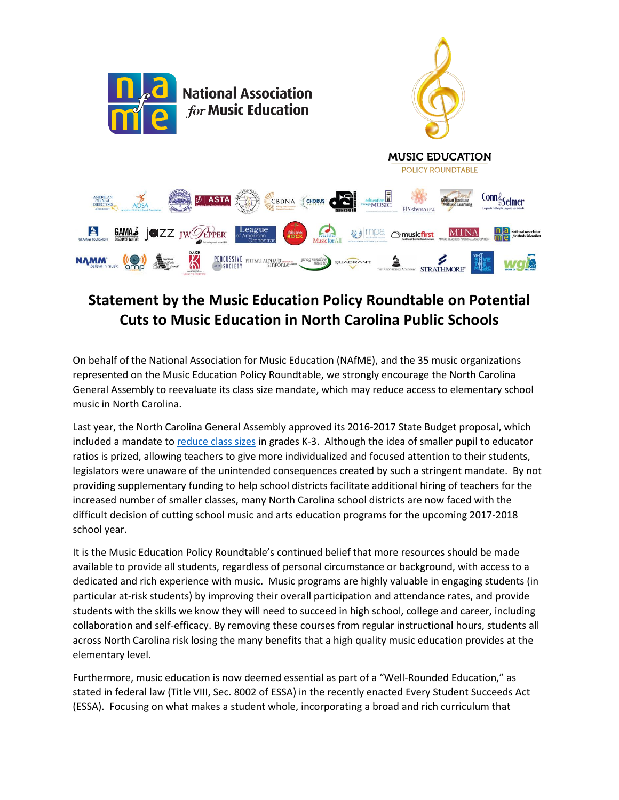

## **Statement by the Music Education Policy Roundtable on Potential Cuts to Music Education in North Carolina Public Schools**

On behalf of the National Association for Music Education (NAfME), and the 35 music organizations represented on the Music Education Policy Roundtable, we strongly encourage the North Carolina General Assembly to reevaluate its class size mandate, which may reduce access to elementary school music in North Carolina.

Last year, the North Carolina General Assembly approved its 2016-2017 State Budget proposal, which included a mandate to [reduce](http://www.ncpolicywatch.com/wp-content/uploads/2016/11/Class-sizes_k-3-2.pdf) class sizes in grades K-3. Although the idea of smaller pupil to educator ratios is prized, allowing teachers to give more individualized and focused attention to their students, legislators were unaware of the unintended consequences created by such a stringent mandate. By not providing supplementary funding to help school districts facilitate additional hiring of teachers for the increased number of smaller classes, many North Carolina school districts are now faced with the difficult decision of cutting school music and arts education programs for the upcoming 2017-2018 school year.

It is the Music Education Policy Roundtable's continued belief that more resources should be made available to provide all students, regardless of personal circumstance or background, with access to a dedicated and rich experience with music. Music programs are highly valuable in engaging students (in particular at-risk students) by improving their overall participation and attendance rates, and provide students with the skills we know they will need to succeed in high school, college and career, including collaboration and self-efficacy. By removing these courses from regular instructional hours, students all across North Carolina risk losing the many benefits that a high quality music education provides at the elementary level.

Furthermore, music education is now deemed essential as part of a "Well-Rounded Education," as stated in federal law (Title VIII, Sec. 8002 of ESSA) in the recently enacted Every Student Succeeds Act (ESSA). Focusing on what makes a student whole, incorporating a broad and rich curriculum that